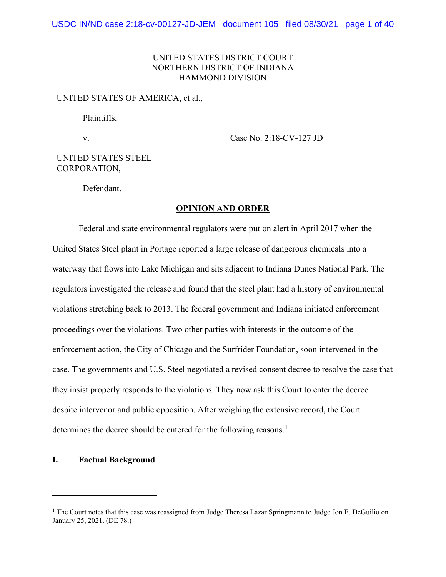# UNITED STATES DISTRICT COURT NORTHERN DISTRICT OF INDIANA HAMMOND DIVISION

UNITED STATES OF AMERICA, et al.,

Plaintiffs,

v. Case No. 2:18-CV-127 JD

UNITED STATES STEEL CORPORATION,

Defendant.

# **OPINION AND ORDER**

Federal and state environmental regulators were put on alert in April 2017 when the United States Steel plant in Portage reported a large release of dangerous chemicals into a waterway that flows into Lake Michigan and sits adjacent to Indiana Dunes National Park. The regulators investigated the release and found that the steel plant had a history of environmental violations stretching back to 2013. The federal government and Indiana initiated enforcement proceedings over the violations. Two other parties with interests in the outcome of the enforcement action, the City of Chicago and the Surfrider Foundation, soon intervened in the case. The governments and U.S. Steel negotiated a revised consent decree to resolve the case that they insist properly responds to the violations. They now ask this Court to enter the decree despite intervenor and public opposition. After weighing the extensive record, the Court determines the decree should be entered for the following reasons.<sup>[1](#page-0-0)</sup>

## **I. Factual Background**

<span id="page-0-0"></span><sup>&</sup>lt;sup>1</sup> The Court notes that this case was reassigned from Judge Theresa Lazar Springmann to Judge Jon E. DeGuilio on January 25, 2021. (DE 78.)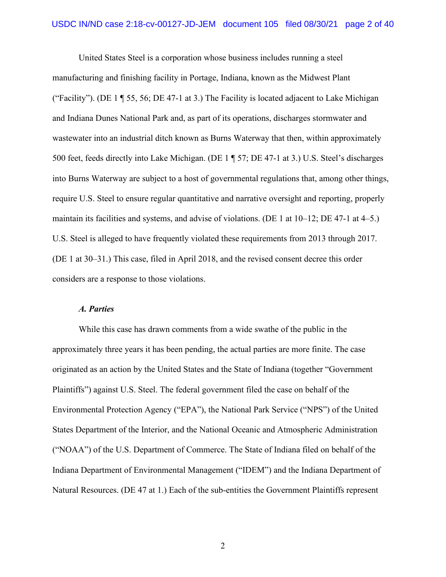United States Steel is a corporation whose business includes running a steel manufacturing and finishing facility in Portage, Indiana, known as the Midwest Plant ("Facility"). (DE 1 ¶ 55, 56; DE 47-1 at 3.) The Facility is located adjacent to Lake Michigan and Indiana Dunes National Park and, as part of its operations, discharges stormwater and wastewater into an industrial ditch known as Burns Waterway that then, within approximately 500 feet, feeds directly into Lake Michigan. (DE 1 ¶ 57; DE 47-1 at 3.) U.S. Steel's discharges into Burns Waterway are subject to a host of governmental regulations that, among other things, require U.S. Steel to ensure regular quantitative and narrative oversight and reporting, properly maintain its facilities and systems, and advise of violations. (DE 1 at 10–12; DE 47-1 at 4–5.) U.S. Steel is alleged to have frequently violated these requirements from 2013 through 2017. (DE 1 at 30–31.) This case, filed in April 2018, and the revised consent decree this order considers are a response to those violations.

#### *A. Parties*

While this case has drawn comments from a wide swathe of the public in the approximately three years it has been pending, the actual parties are more finite. The case originated as an action by the United States and the State of Indiana (together "Government Plaintiffs") against U.S. Steel. The federal government filed the case on behalf of the Environmental Protection Agency ("EPA"), the National Park Service ("NPS") of the United States Department of the Interior, and the National Oceanic and Atmospheric Administration ("NOAA") of the U.S. Department of Commerce. The State of Indiana filed on behalf of the Indiana Department of Environmental Management ("IDEM") and the Indiana Department of Natural Resources. (DE 47 at 1.) Each of the sub-entities the Government Plaintiffs represent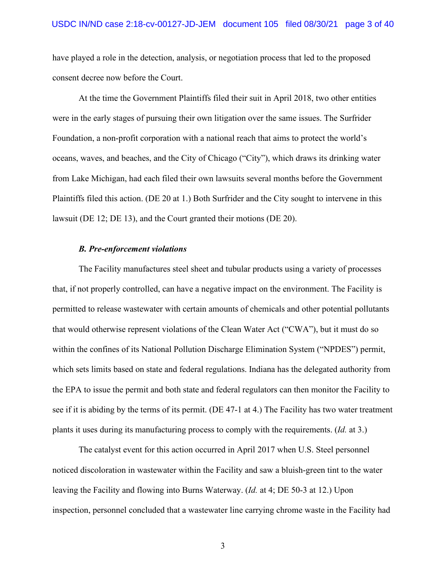have played a role in the detection, analysis, or negotiation process that led to the proposed consent decree now before the Court.

At the time the Government Plaintiffs filed their suit in April 2018, two other entities were in the early stages of pursuing their own litigation over the same issues. The Surfrider Foundation, a non-profit corporation with a national reach that aims to protect the world's oceans, waves, and beaches, and the City of Chicago ("City"), which draws its drinking water from Lake Michigan, had each filed their own lawsuits several months before the Government Plaintiffs filed this action. (DE 20 at 1.) Both Surfrider and the City sought to intervene in this lawsuit (DE 12; DE 13), and the Court granted their motions (DE 20).

## *B. Pre-enforcement violations*

The Facility manufactures steel sheet and tubular products using a variety of processes that, if not properly controlled, can have a negative impact on the environment. The Facility is permitted to release wastewater with certain amounts of chemicals and other potential pollutants that would otherwise represent violations of the Clean Water Act ("CWA"), but it must do so within the confines of its National Pollution Discharge Elimination System ("NPDES") permit, which sets limits based on state and federal regulations. Indiana has the delegated authority from the EPA to issue the permit and both state and federal regulators can then monitor the Facility to see if it is abiding by the terms of its permit. (DE 47-1 at 4.) The Facility has two water treatment plants it uses during its manufacturing process to comply with the requirements. (*Id.* at 3.)

The catalyst event for this action occurred in April 2017 when U.S. Steel personnel noticed discoloration in wastewater within the Facility and saw a bluish-green tint to the water leaving the Facility and flowing into Burns Waterway. (*Id.* at 4; DE 50-3 at 12.) Upon inspection, personnel concluded that a wastewater line carrying chrome waste in the Facility had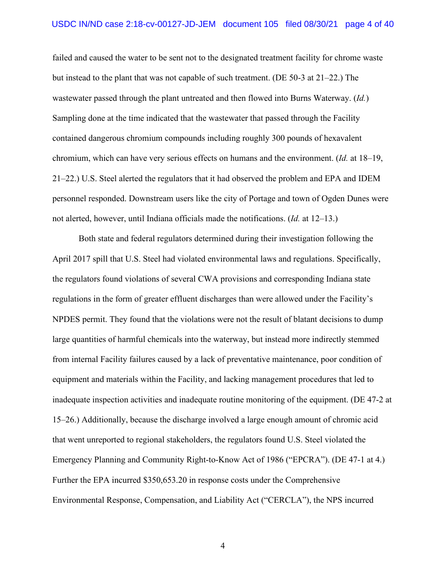failed and caused the water to be sent not to the designated treatment facility for chrome waste but instead to the plant that was not capable of such treatment. (DE 50-3 at 21–22.) The wastewater passed through the plant untreated and then flowed into Burns Waterway. (*Id.*) Sampling done at the time indicated that the wastewater that passed through the Facility contained dangerous chromium compounds including roughly 300 pounds of hexavalent chromium, which can have very serious effects on humans and the environment. (*Id.* at 18–19, 21–22.) U.S. Steel alerted the regulators that it had observed the problem and EPA and IDEM personnel responded. Downstream users like the city of Portage and town of Ogden Dunes were not alerted, however, until Indiana officials made the notifications. (*Id.* at 12–13.)

Both state and federal regulators determined during their investigation following the April 2017 spill that U.S. Steel had violated environmental laws and regulations. Specifically, the regulators found violations of several CWA provisions and corresponding Indiana state regulations in the form of greater effluent discharges than were allowed under the Facility's NPDES permit. They found that the violations were not the result of blatant decisions to dump large quantities of harmful chemicals into the waterway, but instead more indirectly stemmed from internal Facility failures caused by a lack of preventative maintenance, poor condition of equipment and materials within the Facility, and lacking management procedures that led to inadequate inspection activities and inadequate routine monitoring of the equipment. (DE 47-2 at 15–26.) Additionally, because the discharge involved a large enough amount of chromic acid that went unreported to regional stakeholders, the regulators found U.S. Steel violated the Emergency Planning and Community Right-to-Know Act of 1986 ("EPCRA"). (DE 47-1 at 4.) Further the EPA incurred \$350,653.20 in response costs under the Comprehensive Environmental Response, Compensation, and Liability Act ("CERCLA"), the NPS incurred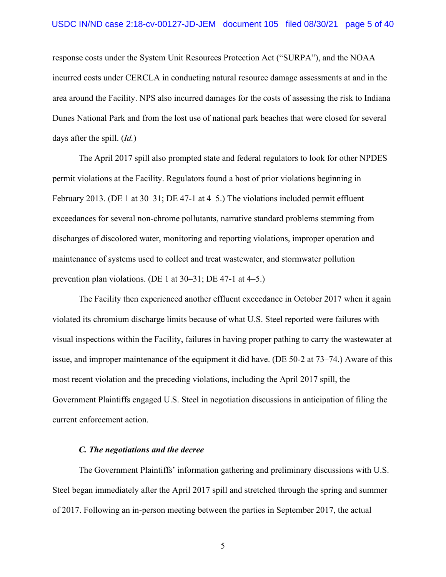response costs under the System Unit Resources Protection Act ("SURPA"), and the NOAA incurred costs under CERCLA in conducting natural resource damage assessments at and in the area around the Facility. NPS also incurred damages for the costs of assessing the risk to Indiana Dunes National Park and from the lost use of national park beaches that were closed for several days after the spill. (*Id.*)

The April 2017 spill also prompted state and federal regulators to look for other NPDES permit violations at the Facility. Regulators found a host of prior violations beginning in February 2013. (DE 1 at 30–31; DE 47-1 at 4–5.) The violations included permit effluent exceedances for several non-chrome pollutants, narrative standard problems stemming from discharges of discolored water, monitoring and reporting violations, improper operation and maintenance of systems used to collect and treat wastewater, and stormwater pollution prevention plan violations. (DE 1 at 30–31; DE 47-1 at 4–5.)

The Facility then experienced another effluent exceedance in October 2017 when it again violated its chromium discharge limits because of what U.S. Steel reported were failures with visual inspections within the Facility, failures in having proper pathing to carry the wastewater at issue, and improper maintenance of the equipment it did have. (DE 50-2 at 73–74.) Aware of this most recent violation and the preceding violations, including the April 2017 spill, the Government Plaintiffs engaged U.S. Steel in negotiation discussions in anticipation of filing the current enforcement action.

## *C. The negotiations and the decree*

The Government Plaintiffs' information gathering and preliminary discussions with U.S. Steel began immediately after the April 2017 spill and stretched through the spring and summer of 2017. Following an in-person meeting between the parties in September 2017, the actual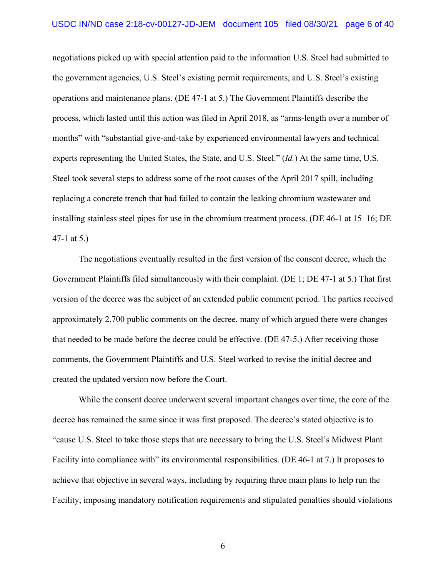negotiations picked up with special attention paid to the information U.S. Steel had submitted to the government agencies, U.S. Steel's existing permit requirements, and U.S. Steel's existing operations and maintenance plans. (DE 47-1 at 5.) The Government Plaintiffs describe the process, which lasted until this action was filed in April 2018, as "arms-length over a number of months" with "substantial give-and-take by experienced environmental lawyers and technical experts representing the United States, the State, and U.S. Steel." (*Id.*) At the same time, U.S. Steel took several steps to address some of the root causes of the April 2017 spill, including replacing a concrete trench that had failed to contain the leaking chromium wastewater and installing stainless steel pipes for use in the chromium treatment process. (DE 46-1 at 15–16; DE 47-1 at 5.)

The negotiations eventually resulted in the first version of the consent decree, which the Government Plaintiffs filed simultaneously with their complaint. (DE 1; DE 47-1 at 5.) That first version of the decree was the subject of an extended public comment period. The parties received approximately 2,700 public comments on the decree, many of which argued there were changes that needed to be made before the decree could be effective. (DE 47-5.) After receiving those comments, the Government Plaintiffs and U.S. Steel worked to revise the initial decree and created the updated version now before the Court.

While the consent decree underwent several important changes over time, the core of the decree has remained the same since it was first proposed. The decree's stated objective is to "cause U.S. Steel to take those steps that are necessary to bring the U.S. Steel's Midwest Plant Facility into compliance with" its environmental responsibilities. (DE 46-1 at 7.) It proposes to achieve that objective in several ways, including by requiring three main plans to help run the Facility, imposing mandatory notification requirements and stipulated penalties should violations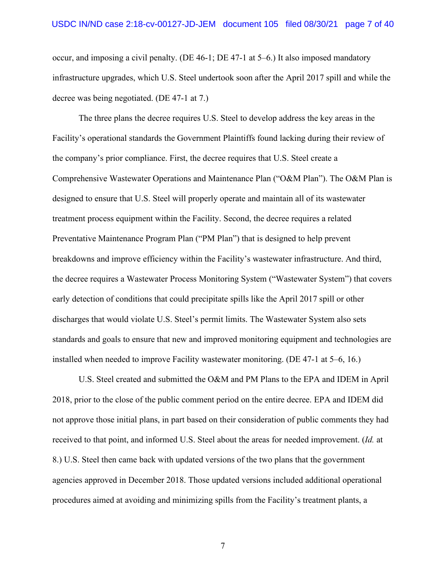occur, and imposing a civil penalty. (DE 46-1; DE 47-1 at 5–6.) It also imposed mandatory infrastructure upgrades, which U.S. Steel undertook soon after the April 2017 spill and while the decree was being negotiated. (DE 47-1 at 7.)

The three plans the decree requires U.S. Steel to develop address the key areas in the Facility's operational standards the Government Plaintiffs found lacking during their review of the company's prior compliance. First, the decree requires that U.S. Steel create a Comprehensive Wastewater Operations and Maintenance Plan ("O&M Plan"). The O&M Plan is designed to ensure that U.S. Steel will properly operate and maintain all of its wastewater treatment process equipment within the Facility. Second, the decree requires a related Preventative Maintenance Program Plan ("PM Plan") that is designed to help prevent breakdowns and improve efficiency within the Facility's wastewater infrastructure. And third, the decree requires a Wastewater Process Monitoring System ("Wastewater System") that covers early detection of conditions that could precipitate spills like the April 2017 spill or other discharges that would violate U.S. Steel's permit limits. The Wastewater System also sets standards and goals to ensure that new and improved monitoring equipment and technologies are installed when needed to improve Facility wastewater monitoring. (DE 47-1 at 5–6, 16.)

U.S. Steel created and submitted the O&M and PM Plans to the EPA and IDEM in April 2018, prior to the close of the public comment period on the entire decree. EPA and IDEM did not approve those initial plans, in part based on their consideration of public comments they had received to that point, and informed U.S. Steel about the areas for needed improvement. (*Id.* at 8.) U.S. Steel then came back with updated versions of the two plans that the government agencies approved in December 2018. Those updated versions included additional operational procedures aimed at avoiding and minimizing spills from the Facility's treatment plants, a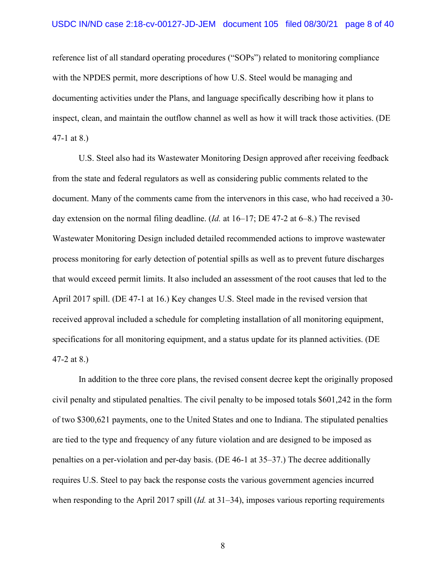reference list of all standard operating procedures ("SOPs") related to monitoring compliance with the NPDES permit, more descriptions of how U.S. Steel would be managing and documenting activities under the Plans, and language specifically describing how it plans to inspect, clean, and maintain the outflow channel as well as how it will track those activities. (DE 47-1 at 8.)

U.S. Steel also had its Wastewater Monitoring Design approved after receiving feedback from the state and federal regulators as well as considering public comments related to the document. Many of the comments came from the intervenors in this case, who had received a 30 day extension on the normal filing deadline. (*Id.* at 16–17; DE 47-2 at 6–8.) The revised Wastewater Monitoring Design included detailed recommended actions to improve wastewater process monitoring for early detection of potential spills as well as to prevent future discharges that would exceed permit limits. It also included an assessment of the root causes that led to the April 2017 spill. (DE 47-1 at 16.) Key changes U.S. Steel made in the revised version that received approval included a schedule for completing installation of all monitoring equipment, specifications for all monitoring equipment, and a status update for its planned activities. (DE 47-2 at 8.)

In addition to the three core plans, the revised consent decree kept the originally proposed civil penalty and stipulated penalties. The civil penalty to be imposed totals \$601,242 in the form of two \$300,621 payments, one to the United States and one to Indiana. The stipulated penalties are tied to the type and frequency of any future violation and are designed to be imposed as penalties on a per-violation and per-day basis. (DE 46-1 at 35–37.) The decree additionally requires U.S. Steel to pay back the response costs the various government agencies incurred when responding to the April 2017 spill (*Id.* at 31–34), imposes various reporting requirements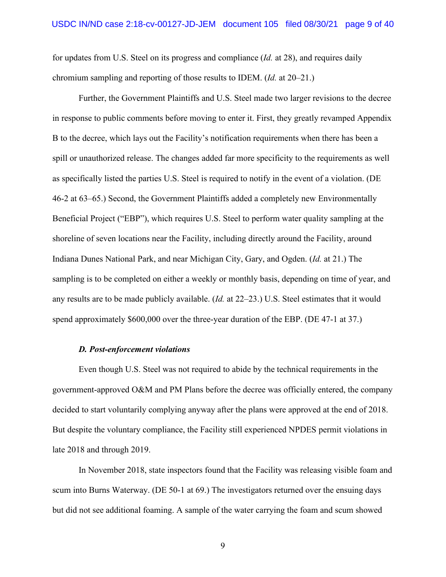for updates from U.S. Steel on its progress and compliance (*Id.* at 28), and requires daily chromium sampling and reporting of those results to IDEM. (*Id.* at 20–21.)

Further, the Government Plaintiffs and U.S. Steel made two larger revisions to the decree in response to public comments before moving to enter it. First, they greatly revamped Appendix B to the decree, which lays out the Facility's notification requirements when there has been a spill or unauthorized release. The changes added far more specificity to the requirements as well as specifically listed the parties U.S. Steel is required to notify in the event of a violation. (DE 46-2 at 63–65.) Second, the Government Plaintiffs added a completely new Environmentally Beneficial Project ("EBP"), which requires U.S. Steel to perform water quality sampling at the shoreline of seven locations near the Facility, including directly around the Facility, around Indiana Dunes National Park, and near Michigan City, Gary, and Ogden. (*Id.* at 21.) The sampling is to be completed on either a weekly or monthly basis, depending on time of year, and any results are to be made publicly available. (*Id.* at 22–23.) U.S. Steel estimates that it would spend approximately \$600,000 over the three-year duration of the EBP. (DE 47-1 at 37.)

## *D. Post-enforcement violations*

Even though U.S. Steel was not required to abide by the technical requirements in the government-approved O&M and PM Plans before the decree was officially entered, the company decided to start voluntarily complying anyway after the plans were approved at the end of 2018. But despite the voluntary compliance, the Facility still experienced NPDES permit violations in late 2018 and through 2019.

In November 2018, state inspectors found that the Facility was releasing visible foam and scum into Burns Waterway. (DE 50-1 at 69.) The investigators returned over the ensuing days but did not see additional foaming. A sample of the water carrying the foam and scum showed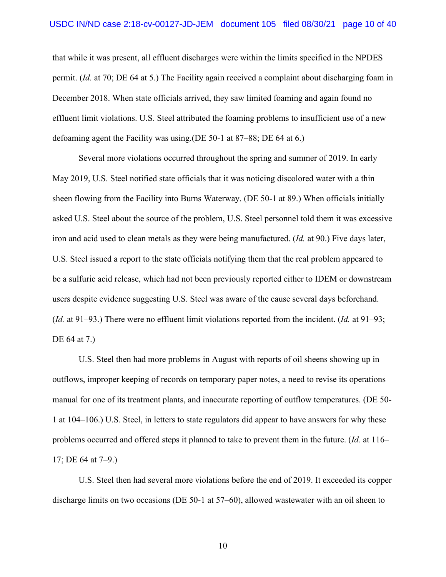that while it was present, all effluent discharges were within the limits specified in the NPDES permit. (*Id.* at 70; DE 64 at 5.) The Facility again received a complaint about discharging foam in December 2018. When state officials arrived, they saw limited foaming and again found no effluent limit violations. U.S. Steel attributed the foaming problems to insufficient use of a new defoaming agent the Facility was using.(DE 50-1 at 87–88; DE 64 at 6.)

Several more violations occurred throughout the spring and summer of 2019. In early May 2019, U.S. Steel notified state officials that it was noticing discolored water with a thin sheen flowing from the Facility into Burns Waterway. (DE 50-1 at 89.) When officials initially asked U.S. Steel about the source of the problem, U.S. Steel personnel told them it was excessive iron and acid used to clean metals as they were being manufactured. (*Id.* at 90.) Five days later, U.S. Steel issued a report to the state officials notifying them that the real problem appeared to be a sulfuric acid release, which had not been previously reported either to IDEM or downstream users despite evidence suggesting U.S. Steel was aware of the cause several days beforehand. (*Id.* at 91–93.) There were no effluent limit violations reported from the incident. (*Id.* at 91–93; DE 64 at 7.)

U.S. Steel then had more problems in August with reports of oil sheens showing up in outflows, improper keeping of records on temporary paper notes, a need to revise its operations manual for one of its treatment plants, and inaccurate reporting of outflow temperatures. (DE 50- 1 at 104–106.) U.S. Steel, in letters to state regulators did appear to have answers for why these problems occurred and offered steps it planned to take to prevent them in the future. (*Id.* at 116– 17; DE 64 at 7–9.)

U.S. Steel then had several more violations before the end of 2019. It exceeded its copper discharge limits on two occasions (DE 50-1 at 57–60), allowed wastewater with an oil sheen to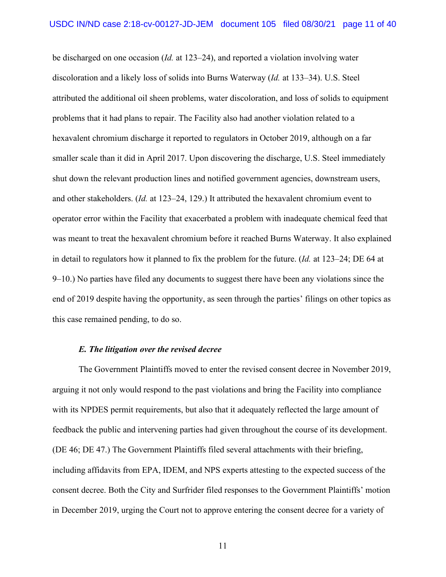be discharged on one occasion (*Id.* at 123–24), and reported a violation involving water discoloration and a likely loss of solids into Burns Waterway (*Id.* at 133–34). U.S. Steel attributed the additional oil sheen problems, water discoloration, and loss of solids to equipment problems that it had plans to repair. The Facility also had another violation related to a hexavalent chromium discharge it reported to regulators in October 2019, although on a far smaller scale than it did in April 2017. Upon discovering the discharge, U.S. Steel immediately shut down the relevant production lines and notified government agencies, downstream users, and other stakeholders. (*Id.* at 123–24, 129.) It attributed the hexavalent chromium event to operator error within the Facility that exacerbated a problem with inadequate chemical feed that was meant to treat the hexavalent chromium before it reached Burns Waterway. It also explained in detail to regulators how it planned to fix the problem for the future. (*Id.* at 123–24; DE 64 at 9–10.) No parties have filed any documents to suggest there have been any violations since the end of 2019 despite having the opportunity, as seen through the parties' filings on other topics as this case remained pending, to do so.

## *E. The litigation over the revised decree*

The Government Plaintiffs moved to enter the revised consent decree in November 2019, arguing it not only would respond to the past violations and bring the Facility into compliance with its NPDES permit requirements, but also that it adequately reflected the large amount of feedback the public and intervening parties had given throughout the course of its development. (DE 46; DE 47.) The Government Plaintiffs filed several attachments with their briefing, including affidavits from EPA, IDEM, and NPS experts attesting to the expected success of the consent decree. Both the City and Surfrider filed responses to the Government Plaintiffs' motion in December 2019, urging the Court not to approve entering the consent decree for a variety of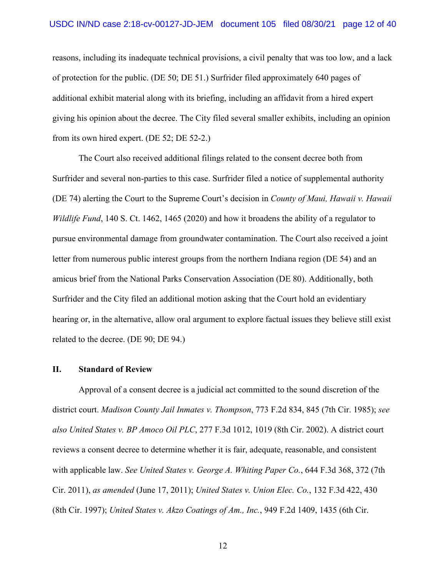reasons, including its inadequate technical provisions, a civil penalty that was too low, and a lack of protection for the public. (DE 50; DE 51.) Surfrider filed approximately 640 pages of additional exhibit material along with its briefing, including an affidavit from a hired expert giving his opinion about the decree. The City filed several smaller exhibits, including an opinion from its own hired expert. (DE 52; DE 52-2.)

The Court also received additional filings related to the consent decree both from Surfrider and several non-parties to this case. Surfrider filed a notice of supplemental authority (DE 74) alerting the Court to the Supreme Court's decision in *County of Maui, Hawaii v. Hawaii Wildlife Fund*, 140 S. Ct. 1462, 1465 (2020) and how it broadens the ability of a regulator to pursue environmental damage from groundwater contamination. The Court also received a joint letter from numerous public interest groups from the northern Indiana region (DE 54) and an amicus brief from the National Parks Conservation Association (DE 80). Additionally, both Surfrider and the City filed an additional motion asking that the Court hold an evidentiary hearing or, in the alternative, allow oral argument to explore factual issues they believe still exist related to the decree. (DE 90; DE 94.)

# **II. Standard of Review**

Approval of a consent decree is a judicial act committed to the sound discretion of the district court. *Madison County Jail Inmates v. Thompson*, 773 F.2d 834, 845 (7th Cir. 1985); *see also United States v. BP Amoco Oil PLC*, 277 F.3d 1012, 1019 (8th Cir. 2002). A district court reviews a consent decree to determine whether it is fair, adequate, reasonable, and consistent with applicable law. *See United States v. George A. Whiting Paper Co.*, 644 F.3d 368, 372 (7th Cir. 2011), *as amended* (June 17, 2011); *United States v. Union Elec. Co.*, 132 F.3d 422, 430 (8th Cir. 1997); *United States v. Akzo Coatings of Am., Inc.*, 949 F.2d 1409, 1435 (6th Cir.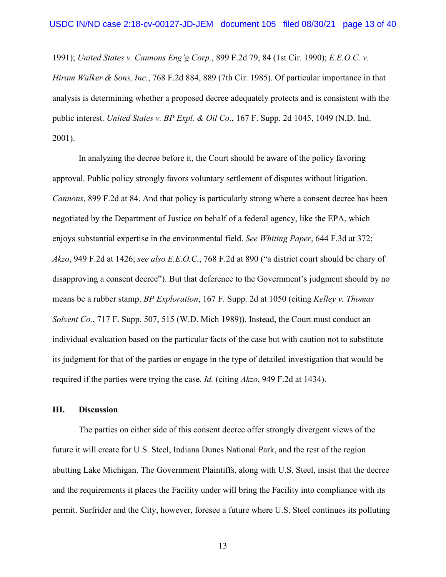1991); *United States v. Cannons Eng'g Corp.*, 899 F.2d 79, 84 (1st Cir. 1990); *E.E.O.C. v. Hiram Walker & Sons, Inc.*, 768 F.2d 884, 889 (7th Cir. 1985). Of particular importance in that analysis is determining whether a proposed decree adequately protects and is consistent with the public interest. *United States v. BP Expl. & Oil Co.*, 167 F. Supp. 2d 1045, 1049 (N.D. Ind. 2001).

In analyzing the decree before it, the Court should be aware of the policy favoring approval. Public policy strongly favors voluntary settlement of disputes without litigation. *Cannons*, 899 F.2d at 84. And that policy is particularly strong where a consent decree has been negotiated by the Department of Justice on behalf of a federal agency, like the EPA, which enjoys substantial expertise in the environmental field. *See Whiting Paper*, 644 F.3d at 372; *Akzo*, 949 F.2d at 1426; *see also E.E.O.C.*, 768 F.2d at 890 ("a district court should be chary of disapproving a consent decree"). But that deference to the Government's judgment should by no means be a rubber stamp. *BP Exploration*, 167 F. Supp. 2d at 1050 (citing *Kelley v. Thomas Solvent Co.*, 717 F. Supp. 507, 515 (W.D. Mich 1989)). Instead, the Court must conduct an individual evaluation based on the particular facts of the case but with caution not to substitute its judgment for that of the parties or engage in the type of detailed investigation that would be required if the parties were trying the case. *Id.* (citing *Akzo*, 949 F.2d at 1434).

# **III. Discussion**

The parties on either side of this consent decree offer strongly divergent views of the future it will create for U.S. Steel, Indiana Dunes National Park, and the rest of the region abutting Lake Michigan. The Government Plaintiffs, along with U.S. Steel, insist that the decree and the requirements it places the Facility under will bring the Facility into compliance with its permit. Surfrider and the City, however, foresee a future where U.S. Steel continues its polluting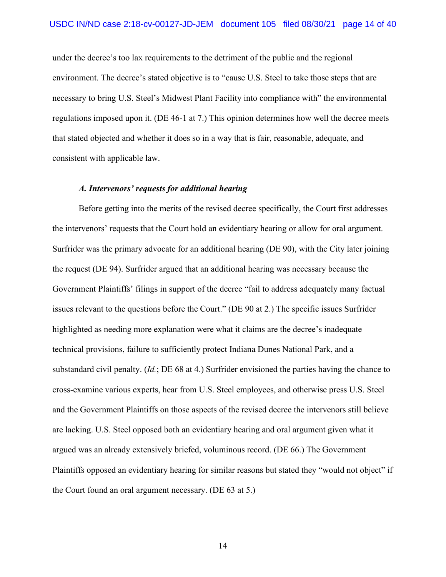under the decree's too lax requirements to the detriment of the public and the regional environment. The decree's stated objective is to "cause U.S. Steel to take those steps that are necessary to bring U.S. Steel's Midwest Plant Facility into compliance with" the environmental regulations imposed upon it. (DE 46-1 at 7.) This opinion determines how well the decree meets that stated objected and whether it does so in a way that is fair, reasonable, adequate, and consistent with applicable law.

# *A. Intervenors' requests for additional hearing*

Before getting into the merits of the revised decree specifically, the Court first addresses the intervenors' requests that the Court hold an evidentiary hearing or allow for oral argument. Surfrider was the primary advocate for an additional hearing (DE 90), with the City later joining the request (DE 94). Surfrider argued that an additional hearing was necessary because the Government Plaintiffs' filings in support of the decree "fail to address adequately many factual issues relevant to the questions before the Court." (DE 90 at 2.) The specific issues Surfrider highlighted as needing more explanation were what it claims are the decree's inadequate technical provisions, failure to sufficiently protect Indiana Dunes National Park, and a substandard civil penalty. (*Id.*; DE 68 at 4.) Surfrider envisioned the parties having the chance to cross-examine various experts, hear from U.S. Steel employees, and otherwise press U.S. Steel and the Government Plaintiffs on those aspects of the revised decree the intervenors still believe are lacking. U.S. Steel opposed both an evidentiary hearing and oral argument given what it argued was an already extensively briefed, voluminous record. (DE 66.) The Government Plaintiffs opposed an evidentiary hearing for similar reasons but stated they "would not object" if the Court found an oral argument necessary. (DE 63 at 5.)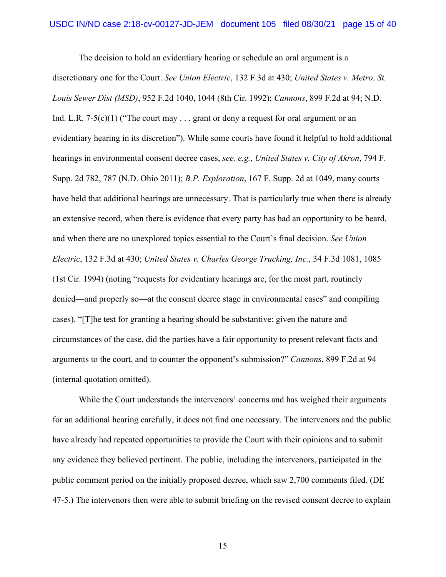The decision to hold an evidentiary hearing or schedule an oral argument is a discretionary one for the Court. *See Union Electric*, 132 F.3d at 430; *United States v. Metro. St. Louis Sewer Dist (MSD)*, 952 F.2d 1040, 1044 (8th Cir. 1992); *Cannons*, 899 F.2d at 94; N.D. Ind. L.R. 7-5(c)(1) ("The court may . . . grant or deny a request for oral argument or an evidentiary hearing in its discretion"). While some courts have found it helpful to hold additional hearings in environmental consent decree cases, *see, e.g.*, *United States v. City of Akron*, 794 F. Supp. 2d 782, 787 (N.D. Ohio 2011); *B.P. Exploration*, 167 F. Supp. 2d at 1049, many courts have held that additional hearings are unnecessary. That is particularly true when there is already an extensive record, when there is evidence that every party has had an opportunity to be heard, and when there are no unexplored topics essential to the Court's final decision. *See Union Electric*, 132 F.3d at 430; *United States v. Charles George Trucking, Inc.*, 34 F.3d 1081, 1085 (1st Cir. 1994) (noting "requests for evidentiary hearings are, for the most part, routinely denied—and properly so—at the consent decree stage in environmental cases" and compiling cases). "[T]he test for granting a hearing should be substantive: given the nature and circumstances of the case, did the parties have a fair opportunity to present relevant facts and arguments to the court, and to counter the opponent's submission?" *Cannons*, 899 F.2d at 94 (internal quotation omitted).

While the Court understands the intervenors' concerns and has weighed their arguments for an additional hearing carefully, it does not find one necessary. The intervenors and the public have already had repeated opportunities to provide the Court with their opinions and to submit any evidence they believed pertinent. The public, including the intervenors, participated in the public comment period on the initially proposed decree, which saw 2,700 comments filed. (DE 47-5.) The intervenors then were able to submit briefing on the revised consent decree to explain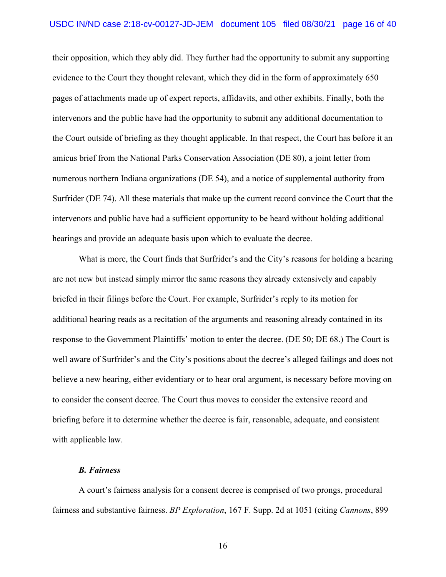their opposition, which they ably did. They further had the opportunity to submit any supporting evidence to the Court they thought relevant, which they did in the form of approximately 650 pages of attachments made up of expert reports, affidavits, and other exhibits. Finally, both the intervenors and the public have had the opportunity to submit any additional documentation to the Court outside of briefing as they thought applicable. In that respect, the Court has before it an amicus brief from the National Parks Conservation Association (DE 80), a joint letter from numerous northern Indiana organizations (DE 54), and a notice of supplemental authority from Surfrider (DE 74). All these materials that make up the current record convince the Court that the intervenors and public have had a sufficient opportunity to be heard without holding additional hearings and provide an adequate basis upon which to evaluate the decree.

What is more, the Court finds that Surfrider's and the City's reasons for holding a hearing are not new but instead simply mirror the same reasons they already extensively and capably briefed in their filings before the Court. For example, Surfrider's reply to its motion for additional hearing reads as a recitation of the arguments and reasoning already contained in its response to the Government Plaintiffs' motion to enter the decree. (DE 50; DE 68.) The Court is well aware of Surfrider's and the City's positions about the decree's alleged failings and does not believe a new hearing, either evidentiary or to hear oral argument, is necessary before moving on to consider the consent decree. The Court thus moves to consider the extensive record and briefing before it to determine whether the decree is fair, reasonable, adequate, and consistent with applicable law.

# *B. Fairness*

A court's fairness analysis for a consent decree is comprised of two prongs, procedural fairness and substantive fairness. *BP Exploration*, 167 F. Supp. 2d at 1051 (citing *Cannons*, 899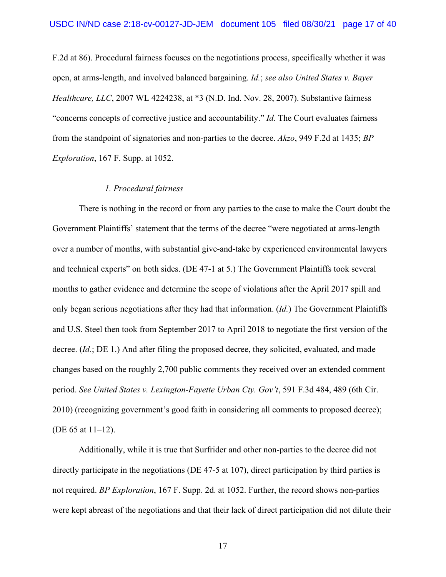F.2d at 86). Procedural fairness focuses on the negotiations process, specifically whether it was open, at arms-length, and involved balanced bargaining. *Id.*; *see also United States v. Bayer Healthcare, LLC*, 2007 WL 4224238, at \*3 (N.D. Ind. Nov. 28, 2007). Substantive fairness "concerns concepts of corrective justice and accountability." *Id.* The Court evaluates fairness from the standpoint of signatories and non-parties to the decree. *Akzo*, 949 F.2d at 1435; *BP Exploration*, 167 F. Supp. at 1052.

## *1. Procedural fairness*

There is nothing in the record or from any parties to the case to make the Court doubt the Government Plaintiffs' statement that the terms of the decree "were negotiated at arms-length over a number of months, with substantial give-and-take by experienced environmental lawyers and technical experts" on both sides. (DE 47-1 at 5.) The Government Plaintiffs took several months to gather evidence and determine the scope of violations after the April 2017 spill and only began serious negotiations after they had that information. (*Id.*) The Government Plaintiffs and U.S. Steel then took from September 2017 to April 2018 to negotiate the first version of the decree. (*Id.*; DE 1.) And after filing the proposed decree, they solicited, evaluated, and made changes based on the roughly 2,700 public comments they received over an extended comment period. *See United States v. Lexington-Fayette Urban Cty. Gov't*, 591 F.3d 484, 489 (6th Cir. 2010) (recognizing government's good faith in considering all comments to proposed decree); (DE 65 at 11–12).

Additionally, while it is true that Surfrider and other non-parties to the decree did not directly participate in the negotiations (DE 47-5 at 107), direct participation by third parties is not required. *BP Exploration*, 167 F. Supp. 2d. at 1052. Further, the record shows non-parties were kept abreast of the negotiations and that their lack of direct participation did not dilute their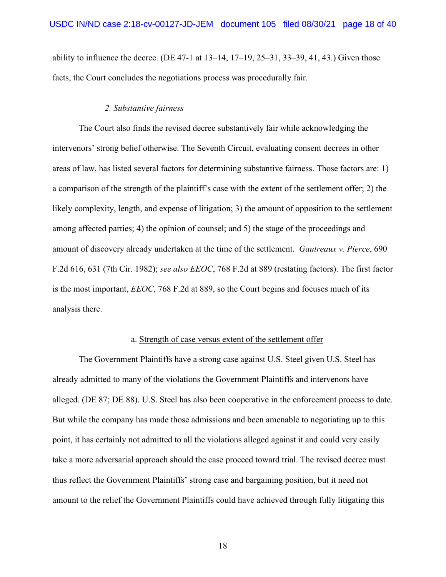ability to influence the decree. (DE 47-1 at  $13-14$ ,  $17-19$ ,  $25-31$ ,  $33-39$ ,  $41$ ,  $43$ .) Given those facts, the Court concludes the negotiations process was procedurally fair.

# *2. Substantive fairness*

The Court also finds the revised decree substantively fair while acknowledging the intervenors' strong belief otherwise. The Seventh Circuit, evaluating consent decrees in other areas of law, has listed several factors for determining substantive fairness. Those factors are: 1) a comparison of the strength of the plaintiff's case with the extent of the settlement offer; 2) the likely complexity, length, and expense of litigation; 3) the amount of opposition to the settlement among affected parties; 4) the opinion of counsel; and 5) the stage of the proceedings and amount of discovery already undertaken at the time of the settlement. *Gautreaux v. Pierce*, 690 F.2d 616, 631 (7th Cir. 1982); *see also EEOC*, 768 F.2d at 889 (restating factors). The first factor is the most important, *EEOC*, 768 F.2d at 889, so the Court begins and focuses much of its analysis there.

#### a. Strength of case versus extent of the settlement offer

The Government Plaintiffs have a strong case against U.S. Steel given U.S. Steel has already admitted to many of the violations the Government Plaintiffs and intervenors have alleged. (DE 87; DE 88). U.S. Steel has also been cooperative in the enforcement process to date. But while the company has made those admissions and been amenable to negotiating up to this point, it has certainly not admitted to all the violations alleged against it and could very easily take a more adversarial approach should the case proceed toward trial. The revised decree must thus reflect the Government Plaintiffs' strong case and bargaining position, but it need not amount to the relief the Government Plaintiffs could have achieved through fully litigating this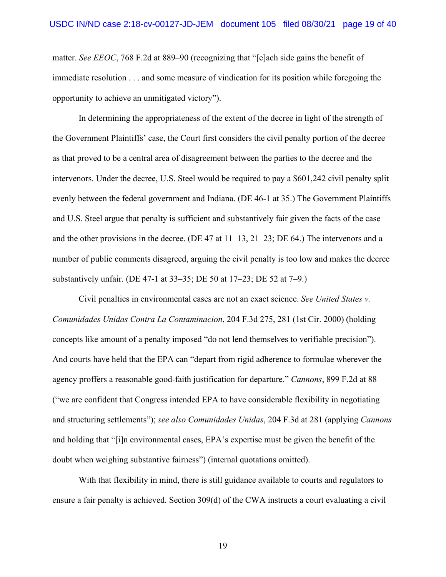matter. *See EEOC*, 768 F.2d at 889–90 (recognizing that "[e]ach side gains the benefit of immediate resolution . . . and some measure of vindication for its position while foregoing the opportunity to achieve an unmitigated victory").

In determining the appropriateness of the extent of the decree in light of the strength of the Government Plaintiffs' case, the Court first considers the civil penalty portion of the decree as that proved to be a central area of disagreement between the parties to the decree and the intervenors. Under the decree, U.S. Steel would be required to pay a \$601,242 civil penalty split evenly between the federal government and Indiana. (DE 46-1 at 35.) The Government Plaintiffs and U.S. Steel argue that penalty is sufficient and substantively fair given the facts of the case and the other provisions in the decree. (DE 47 at  $11-13$ ,  $21-23$ ; DE 64.) The intervenors and a number of public comments disagreed, arguing the civil penalty is too low and makes the decree substantively unfair. (DE 47-1 at 33–35; DE 50 at 17–23; DE 52 at 7–9.)

Civil penalties in environmental cases are not an exact science. *See United States v. Comunidades Unidas Contra La Contaminacion*, 204 F.3d 275, 281 (1st Cir. 2000) (holding concepts like amount of a penalty imposed "do not lend themselves to verifiable precision"). And courts have held that the EPA can "depart from rigid adherence to formulae wherever the agency proffers a reasonable good-faith justification for departure." *Cannons*, 899 F.2d at 88 ("we are confident that Congress intended EPA to have considerable flexibility in negotiating and structuring settlements"); *see also Comunidades Unidas*, 204 F.3d at 281 (applying *Cannons*  and holding that "[i]n environmental cases, EPA's expertise must be given the benefit of the doubt when weighing substantive fairness") (internal quotations omitted).

With that flexibility in mind, there is still guidance available to courts and regulators to ensure a fair penalty is achieved. Section 309(d) of the CWA instructs a court evaluating a civil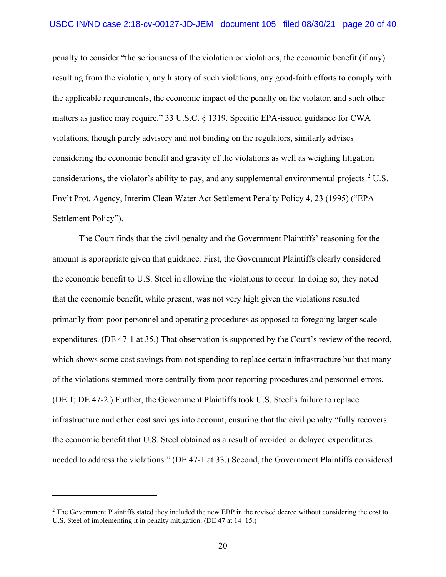penalty to consider "the seriousness of the violation or violations, the economic benefit (if any) resulting from the violation, any history of such violations, any good-faith efforts to comply with the applicable requirements, the economic impact of the penalty on the violator, and such other matters as justice may require." 33 U.S.C. § 1319. Specific EPA-issued guidance for CWA violations, though purely advisory and not binding on the regulators, similarly advises considering the economic benefit and gravity of the violations as well as weighing litigation considerations, the violator's ability to pay, and any supplemental environmental projects.<sup>[2](#page-19-0)</sup> U.S. Env't Prot. Agency, Interim Clean Water Act Settlement Penalty Policy 4, 23 (1995) ("EPA Settlement Policy").

The Court finds that the civil penalty and the Government Plaintiffs' reasoning for the amount is appropriate given that guidance. First, the Government Plaintiffs clearly considered the economic benefit to U.S. Steel in allowing the violations to occur. In doing so, they noted that the economic benefit, while present, was not very high given the violations resulted primarily from poor personnel and operating procedures as opposed to foregoing larger scale expenditures. (DE 47-1 at 35.) That observation is supported by the Court's review of the record, which shows some cost savings from not spending to replace certain infrastructure but that many of the violations stemmed more centrally from poor reporting procedures and personnel errors. (DE 1; DE 47-2.) Further, the Government Plaintiffs took U.S. Steel's failure to replace infrastructure and other cost savings into account, ensuring that the civil penalty "fully recovers the economic benefit that U.S. Steel obtained as a result of avoided or delayed expenditures needed to address the violations." (DE 47-1 at 33.) Second, the Government Plaintiffs considered

<span id="page-19-0"></span><sup>&</sup>lt;sup>2</sup> The Government Plaintiffs stated they included the new EBP in the revised decree without considering the cost to U.S. Steel of implementing it in penalty mitigation. (DE 47 at 14–15.)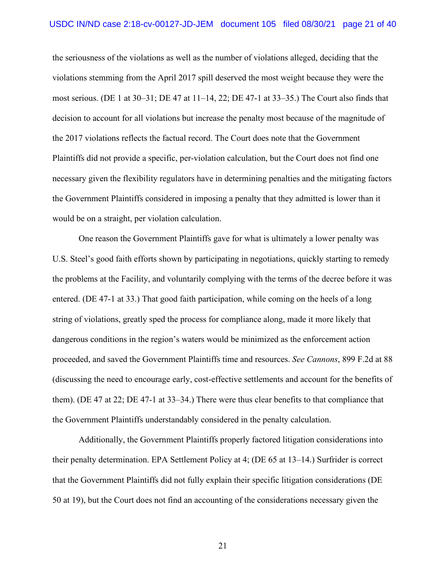the seriousness of the violations as well as the number of violations alleged, deciding that the violations stemming from the April 2017 spill deserved the most weight because they were the most serious. (DE 1 at 30–31; DE 47 at 11–14, 22; DE 47-1 at 33–35.) The Court also finds that decision to account for all violations but increase the penalty most because of the magnitude of the 2017 violations reflects the factual record. The Court does note that the Government Plaintiffs did not provide a specific, per-violation calculation, but the Court does not find one necessary given the flexibility regulators have in determining penalties and the mitigating factors the Government Plaintiffs considered in imposing a penalty that they admitted is lower than it would be on a straight, per violation calculation.

One reason the Government Plaintiffs gave for what is ultimately a lower penalty was U.S. Steel's good faith efforts shown by participating in negotiations, quickly starting to remedy the problems at the Facility, and voluntarily complying with the terms of the decree before it was entered. (DE 47-1 at 33.) That good faith participation, while coming on the heels of a long string of violations, greatly sped the process for compliance along, made it more likely that dangerous conditions in the region's waters would be minimized as the enforcement action proceeded, and saved the Government Plaintiffs time and resources. *See Cannons*, 899 F.2d at 88 (discussing the need to encourage early, cost-effective settlements and account for the benefits of them). (DE 47 at 22; DE 47-1 at 33–34.) There were thus clear benefits to that compliance that the Government Plaintiffs understandably considered in the penalty calculation.

Additionally, the Government Plaintiffs properly factored litigation considerations into their penalty determination. EPA Settlement Policy at 4; (DE 65 at 13–14.) Surfrider is correct that the Government Plaintiffs did not fully explain their specific litigation considerations (DE 50 at 19), but the Court does not find an accounting of the considerations necessary given the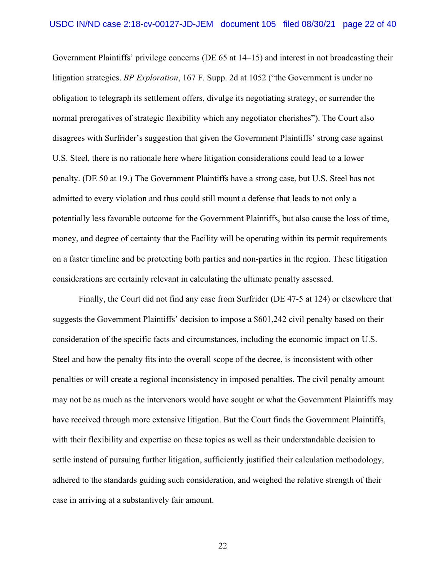Government Plaintiffs' privilege concerns (DE 65 at 14–15) and interest in not broadcasting their litigation strategies. *BP Exploration*, 167 F. Supp. 2d at 1052 ("the Government is under no obligation to telegraph its settlement offers, divulge its negotiating strategy, or surrender the normal prerogatives of strategic flexibility which any negotiator cherishes"). The Court also disagrees with Surfrider's suggestion that given the Government Plaintiffs' strong case against U.S. Steel, there is no rationale here where litigation considerations could lead to a lower penalty. (DE 50 at 19.) The Government Plaintiffs have a strong case, but U.S. Steel has not admitted to every violation and thus could still mount a defense that leads to not only a potentially less favorable outcome for the Government Plaintiffs, but also cause the loss of time, money, and degree of certainty that the Facility will be operating within its permit requirements on a faster timeline and be protecting both parties and non-parties in the region. These litigation considerations are certainly relevant in calculating the ultimate penalty assessed.

Finally, the Court did not find any case from Surfrider (DE 47-5 at 124) or elsewhere that suggests the Government Plaintiffs' decision to impose a \$601,242 civil penalty based on their consideration of the specific facts and circumstances, including the economic impact on U.S. Steel and how the penalty fits into the overall scope of the decree, is inconsistent with other penalties or will create a regional inconsistency in imposed penalties. The civil penalty amount may not be as much as the intervenors would have sought or what the Government Plaintiffs may have received through more extensive litigation. But the Court finds the Government Plaintiffs, with their flexibility and expertise on these topics as well as their understandable decision to settle instead of pursuing further litigation, sufficiently justified their calculation methodology, adhered to the standards guiding such consideration, and weighed the relative strength of their case in arriving at a substantively fair amount.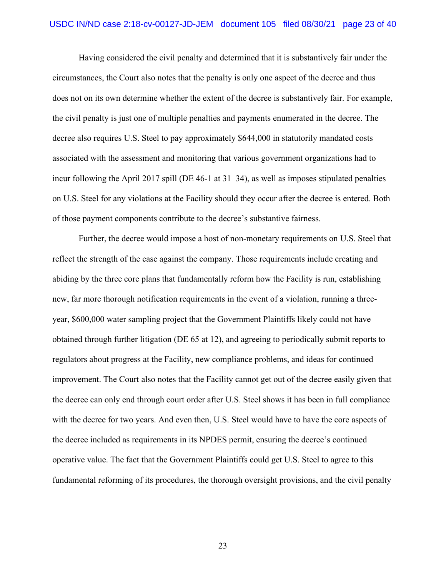Having considered the civil penalty and determined that it is substantively fair under the circumstances, the Court also notes that the penalty is only one aspect of the decree and thus does not on its own determine whether the extent of the decree is substantively fair. For example, the civil penalty is just one of multiple penalties and payments enumerated in the decree. The decree also requires U.S. Steel to pay approximately \$644,000 in statutorily mandated costs associated with the assessment and monitoring that various government organizations had to incur following the April 2017 spill (DE 46-1 at 31–34), as well as imposes stipulated penalties on U.S. Steel for any violations at the Facility should they occur after the decree is entered. Both of those payment components contribute to the decree's substantive fairness.

Further, the decree would impose a host of non-monetary requirements on U.S. Steel that reflect the strength of the case against the company. Those requirements include creating and abiding by the three core plans that fundamentally reform how the Facility is run, establishing new, far more thorough notification requirements in the event of a violation, running a threeyear, \$600,000 water sampling project that the Government Plaintiffs likely could not have obtained through further litigation (DE 65 at 12), and agreeing to periodically submit reports to regulators about progress at the Facility, new compliance problems, and ideas for continued improvement. The Court also notes that the Facility cannot get out of the decree easily given that the decree can only end through court order after U.S. Steel shows it has been in full compliance with the decree for two years. And even then, U.S. Steel would have to have the core aspects of the decree included as requirements in its NPDES permit, ensuring the decree's continued operative value. The fact that the Government Plaintiffs could get U.S. Steel to agree to this fundamental reforming of its procedures, the thorough oversight provisions, and the civil penalty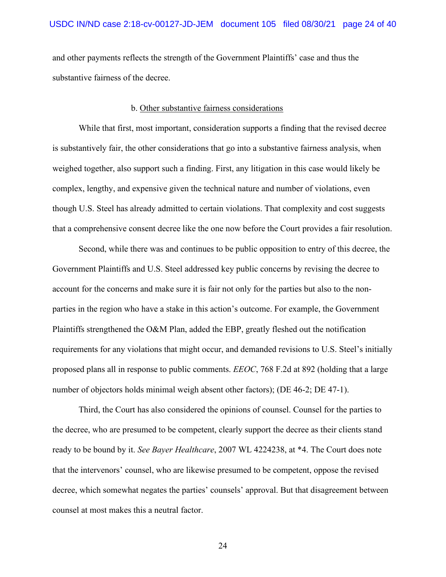and other payments reflects the strength of the Government Plaintiffs' case and thus the substantive fairness of the decree.

# b. Other substantive fairness considerations

While that first, most important, consideration supports a finding that the revised decree is substantively fair, the other considerations that go into a substantive fairness analysis, when weighed together, also support such a finding. First, any litigation in this case would likely be complex, lengthy, and expensive given the technical nature and number of violations, even though U.S. Steel has already admitted to certain violations. That complexity and cost suggests that a comprehensive consent decree like the one now before the Court provides a fair resolution.

Second, while there was and continues to be public opposition to entry of this decree, the Government Plaintiffs and U.S. Steel addressed key public concerns by revising the decree to account for the concerns and make sure it is fair not only for the parties but also to the nonparties in the region who have a stake in this action's outcome. For example, the Government Plaintiffs strengthened the O&M Plan, added the EBP, greatly fleshed out the notification requirements for any violations that might occur, and demanded revisions to U.S. Steel's initially proposed plans all in response to public comments. *EEOC*, 768 F.2d at 892 (holding that a large number of objectors holds minimal weigh absent other factors); (DE 46-2; DE 47-1).

Third, the Court has also considered the opinions of counsel. Counsel for the parties to the decree, who are presumed to be competent, clearly support the decree as their clients stand ready to be bound by it. *See Bayer Healthcare*, 2007 WL 4224238, at \*4. The Court does note that the intervenors' counsel, who are likewise presumed to be competent, oppose the revised decree, which somewhat negates the parties' counsels' approval. But that disagreement between counsel at most makes this a neutral factor.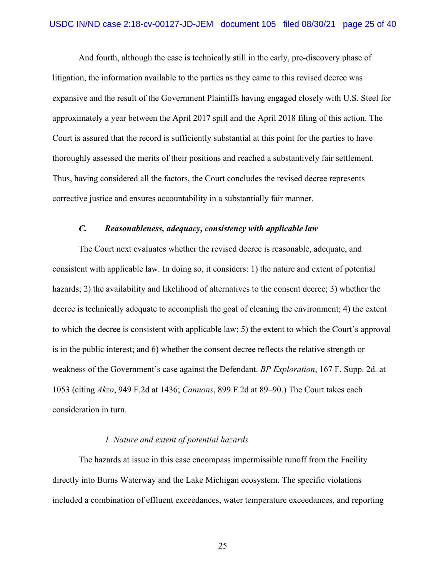And fourth, although the case is technically still in the early, pre-discovery phase of litigation, the information available to the parties as they came to this revised decree was expansive and the result of the Government Plaintiffs having engaged closely with U.S. Steel for approximately a year between the April 2017 spill and the April 2018 filing of this action. The Court is assured that the record is sufficiently substantial at this point for the parties to have thoroughly assessed the merits of their positions and reached a substantively fair settlement. Thus, having considered all the factors, the Court concludes the revised decree represents corrective justice and ensures accountability in a substantially fair manner.

# *C. Reasonableness, adequacy, consistency with applicable law*

The Court next evaluates whether the revised decree is reasonable, adequate, and consistent with applicable law. In doing so, it considers: 1) the nature and extent of potential hazards; 2) the availability and likelihood of alternatives to the consent decree; 3) whether the decree is technically adequate to accomplish the goal of cleaning the environment; 4) the extent to which the decree is consistent with applicable law; 5) the extent to which the Court's approval is in the public interest; and 6) whether the consent decree reflects the relative strength or weakness of the Government's case against the Defendant. *BP Exploration*, 167 F. Supp. 2d. at 1053 (citing *Akzo*, 949 F.2d at 1436; *Cannons*, 899 F.2d at 89–90.) The Court takes each consideration in turn.

#### *1. Nature and extent of potential hazards*

The hazards at issue in this case encompass impermissible runoff from the Facility directly into Burns Waterway and the Lake Michigan ecosystem. The specific violations included a combination of effluent exceedances, water temperature exceedances, and reporting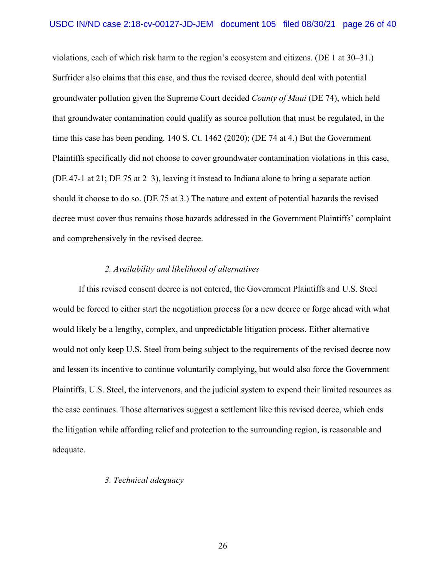violations, each of which risk harm to the region's ecosystem and citizens. (DE 1 at 30–31.) Surfrider also claims that this case, and thus the revised decree, should deal with potential groundwater pollution given the Supreme Court decided *County of Maui* (DE 74), which held that groundwater contamination could qualify as source pollution that must be regulated, in the time this case has been pending. 140 S. Ct. 1462 (2020); (DE 74 at 4.) But the Government Plaintiffs specifically did not choose to cover groundwater contamination violations in this case, (DE 47-1 at 21; DE 75 at 2–3), leaving it instead to Indiana alone to bring a separate action should it choose to do so. (DE 75 at 3.) The nature and extent of potential hazards the revised decree must cover thus remains those hazards addressed in the Government Plaintiffs' complaint and comprehensively in the revised decree.

# *2. Availability and likelihood of alternatives*

If this revised consent decree is not entered, the Government Plaintiffs and U.S. Steel would be forced to either start the negotiation process for a new decree or forge ahead with what would likely be a lengthy, complex, and unpredictable litigation process. Either alternative would not only keep U.S. Steel from being subject to the requirements of the revised decree now and lessen its incentive to continue voluntarily complying, but would also force the Government Plaintiffs, U.S. Steel, the intervenors, and the judicial system to expend their limited resources as the case continues. Those alternatives suggest a settlement like this revised decree, which ends the litigation while affording relief and protection to the surrounding region, is reasonable and adequate.

# *3. Technical adequacy*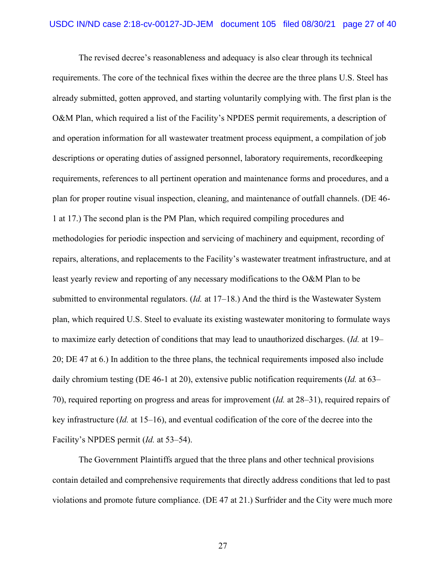The revised decree's reasonableness and adequacy is also clear through its technical requirements. The core of the technical fixes within the decree are the three plans U.S. Steel has already submitted, gotten approved, and starting voluntarily complying with. The first plan is the O&M Plan, which required a list of the Facility's NPDES permit requirements, a description of and operation information for all wastewater treatment process equipment, a compilation of job descriptions or operating duties of assigned personnel, laboratory requirements, recordkeeping requirements, references to all pertinent operation and maintenance forms and procedures, and a plan for proper routine visual inspection, cleaning, and maintenance of outfall channels. (DE 46- 1 at 17.) The second plan is the PM Plan, which required compiling procedures and methodologies for periodic inspection and servicing of machinery and equipment, recording of repairs, alterations, and replacements to the Facility's wastewater treatment infrastructure, and at least yearly review and reporting of any necessary modifications to the O&M Plan to be submitted to environmental regulators. (*Id.* at 17–18.) And the third is the Wastewater System plan, which required U.S. Steel to evaluate its existing wastewater monitoring to formulate ways to maximize early detection of conditions that may lead to unauthorized discharges. (*Id.* at 19– 20; DE 47 at 6.) In addition to the three plans, the technical requirements imposed also include daily chromium testing (DE 46-1 at 20), extensive public notification requirements (*Id.* at 63– 70), required reporting on progress and areas for improvement (*Id.* at 28–31), required repairs of key infrastructure (*Id.* at 15–16), and eventual codification of the core of the decree into the Facility's NPDES permit (*Id.* at 53–54).

The Government Plaintiffs argued that the three plans and other technical provisions contain detailed and comprehensive requirements that directly address conditions that led to past violations and promote future compliance. (DE 47 at 21.) Surfrider and the City were much more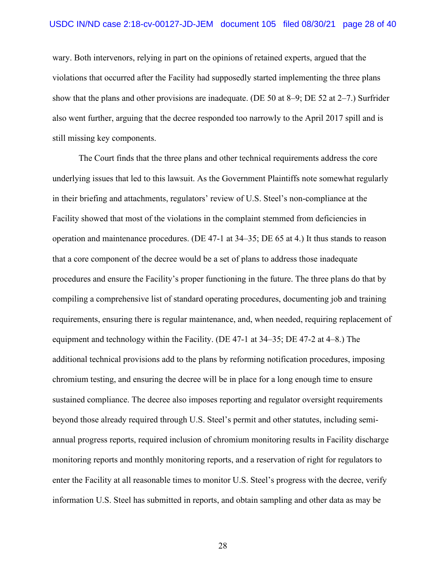wary. Both intervenors, relying in part on the opinions of retained experts, argued that the violations that occurred after the Facility had supposedly started implementing the three plans show that the plans and other provisions are inadequate. (DE 50 at 8–9; DE 52 at 2–7.) Surfrider also went further, arguing that the decree responded too narrowly to the April 2017 spill and is still missing key components.

The Court finds that the three plans and other technical requirements address the core underlying issues that led to this lawsuit. As the Government Plaintiffs note somewhat regularly in their briefing and attachments, regulators' review of U.S. Steel's non-compliance at the Facility showed that most of the violations in the complaint stemmed from deficiencies in operation and maintenance procedures. (DE 47-1 at 34–35; DE 65 at 4.) It thus stands to reason that a core component of the decree would be a set of plans to address those inadequate procedures and ensure the Facility's proper functioning in the future. The three plans do that by compiling a comprehensive list of standard operating procedures, documenting job and training requirements, ensuring there is regular maintenance, and, when needed, requiring replacement of equipment and technology within the Facility. (DE 47-1 at 34–35; DE 47-2 at 4–8.) The additional technical provisions add to the plans by reforming notification procedures, imposing chromium testing, and ensuring the decree will be in place for a long enough time to ensure sustained compliance. The decree also imposes reporting and regulator oversight requirements beyond those already required through U.S. Steel's permit and other statutes, including semiannual progress reports, required inclusion of chromium monitoring results in Facility discharge monitoring reports and monthly monitoring reports, and a reservation of right for regulators to enter the Facility at all reasonable times to monitor U.S. Steel's progress with the decree, verify information U.S. Steel has submitted in reports, and obtain sampling and other data as may be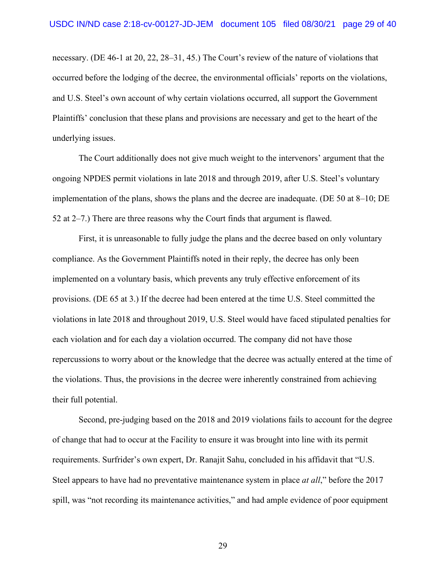necessary. (DE 46-1 at 20, 22, 28–31, 45.) The Court's review of the nature of violations that occurred before the lodging of the decree, the environmental officials' reports on the violations, and U.S. Steel's own account of why certain violations occurred, all support the Government Plaintiffs' conclusion that these plans and provisions are necessary and get to the heart of the underlying issues.

The Court additionally does not give much weight to the intervenors' argument that the ongoing NPDES permit violations in late 2018 and through 2019, after U.S. Steel's voluntary implementation of the plans, shows the plans and the decree are inadequate. (DE 50 at 8–10; DE 52 at 2–7.) There are three reasons why the Court finds that argument is flawed.

First, it is unreasonable to fully judge the plans and the decree based on only voluntary compliance. As the Government Plaintiffs noted in their reply, the decree has only been implemented on a voluntary basis, which prevents any truly effective enforcement of its provisions. (DE 65 at 3.) If the decree had been entered at the time U.S. Steel committed the violations in late 2018 and throughout 2019, U.S. Steel would have faced stipulated penalties for each violation and for each day a violation occurred. The company did not have those repercussions to worry about or the knowledge that the decree was actually entered at the time of the violations. Thus, the provisions in the decree were inherently constrained from achieving their full potential.

Second, pre-judging based on the 2018 and 2019 violations fails to account for the degree of change that had to occur at the Facility to ensure it was brought into line with its permit requirements. Surfrider's own expert, Dr. Ranajit Sahu, concluded in his affidavit that "U.S. Steel appears to have had no preventative maintenance system in place *at all*," before the 2017 spill, was "not recording its maintenance activities," and had ample evidence of poor equipment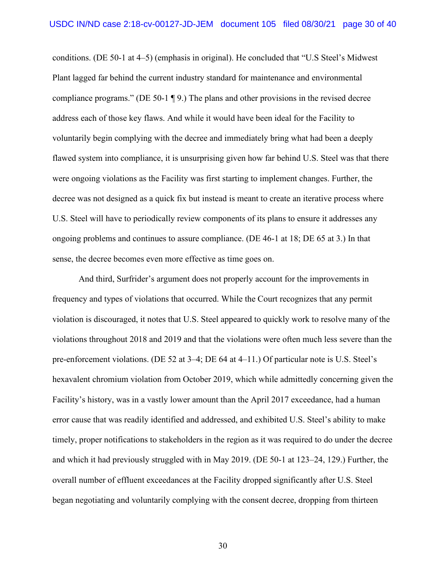conditions. (DE 50-1 at 4–5) (emphasis in original). He concluded that "U.S Steel's Midwest Plant lagged far behind the current industry standard for maintenance and environmental compliance programs." (DE 50-1 ¶ 9.) The plans and other provisions in the revised decree address each of those key flaws. And while it would have been ideal for the Facility to voluntarily begin complying with the decree and immediately bring what had been a deeply flawed system into compliance, it is unsurprising given how far behind U.S. Steel was that there were ongoing violations as the Facility was first starting to implement changes. Further, the decree was not designed as a quick fix but instead is meant to create an iterative process where U.S. Steel will have to periodically review components of its plans to ensure it addresses any ongoing problems and continues to assure compliance. (DE 46-1 at 18; DE 65 at 3.) In that sense, the decree becomes even more effective as time goes on.

And third, Surfrider's argument does not properly account for the improvements in frequency and types of violations that occurred. While the Court recognizes that any permit violation is discouraged, it notes that U.S. Steel appeared to quickly work to resolve many of the violations throughout 2018 and 2019 and that the violations were often much less severe than the pre-enforcement violations. (DE 52 at 3–4; DE 64 at 4–11.) Of particular note is U.S. Steel's hexavalent chromium violation from October 2019, which while admittedly concerning given the Facility's history, was in a vastly lower amount than the April 2017 exceedance, had a human error cause that was readily identified and addressed, and exhibited U.S. Steel's ability to make timely, proper notifications to stakeholders in the region as it was required to do under the decree and which it had previously struggled with in May 2019. (DE 50-1 at 123–24, 129.) Further, the overall number of effluent exceedances at the Facility dropped significantly after U.S. Steel began negotiating and voluntarily complying with the consent decree, dropping from thirteen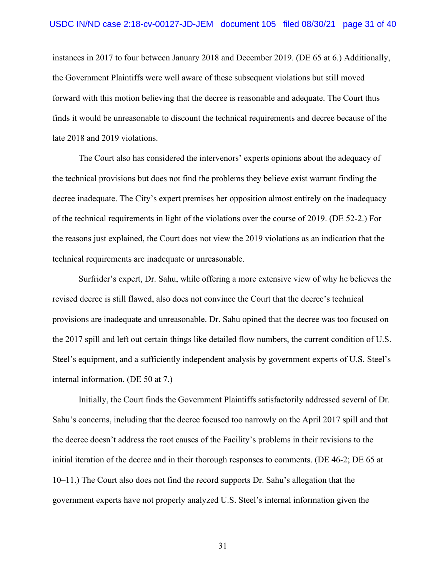instances in 2017 to four between January 2018 and December 2019. (DE 65 at 6.) Additionally, the Government Plaintiffs were well aware of these subsequent violations but still moved forward with this motion believing that the decree is reasonable and adequate. The Court thus finds it would be unreasonable to discount the technical requirements and decree because of the late 2018 and 2019 violations.

The Court also has considered the intervenors' experts opinions about the adequacy of the technical provisions but does not find the problems they believe exist warrant finding the decree inadequate. The City's expert premises her opposition almost entirely on the inadequacy of the technical requirements in light of the violations over the course of 2019. (DE 52-2.) For the reasons just explained, the Court does not view the 2019 violations as an indication that the technical requirements are inadequate or unreasonable.

Surfrider's expert, Dr. Sahu, while offering a more extensive view of why he believes the revised decree is still flawed, also does not convince the Court that the decree's technical provisions are inadequate and unreasonable. Dr. Sahu opined that the decree was too focused on the 2017 spill and left out certain things like detailed flow numbers, the current condition of U.S. Steel's equipment, and a sufficiently independent analysis by government experts of U.S. Steel's internal information. (DE 50 at 7.)

Initially, the Court finds the Government Plaintiffs satisfactorily addressed several of Dr. Sahu's concerns, including that the decree focused too narrowly on the April 2017 spill and that the decree doesn't address the root causes of the Facility's problems in their revisions to the initial iteration of the decree and in their thorough responses to comments. (DE 46-2; DE 65 at 10–11.) The Court also does not find the record supports Dr. Sahu's allegation that the government experts have not properly analyzed U.S. Steel's internal information given the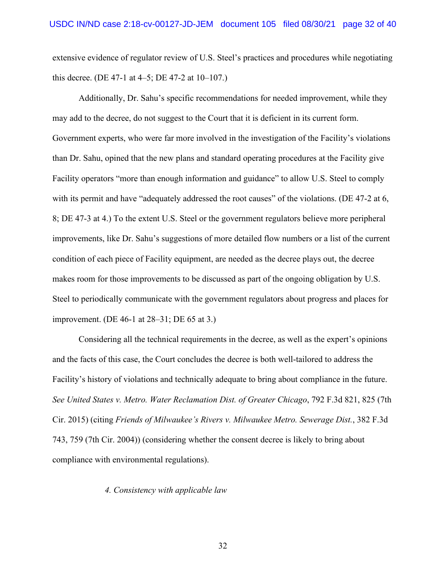extensive evidence of regulator review of U.S. Steel's practices and procedures while negotiating this decree. (DE 47-1 at 4–5; DE 47-2 at  $10-107$ .)

Additionally, Dr. Sahu's specific recommendations for needed improvement, while they may add to the decree, do not suggest to the Court that it is deficient in its current form. Government experts, who were far more involved in the investigation of the Facility's violations than Dr. Sahu, opined that the new plans and standard operating procedures at the Facility give Facility operators "more than enough information and guidance" to allow U.S. Steel to comply with its permit and have "adequately addressed the root causes" of the violations. (DE 47-2 at 6, 8; DE 47-3 at 4.) To the extent U.S. Steel or the government regulators believe more peripheral improvements, like Dr. Sahu's suggestions of more detailed flow numbers or a list of the current condition of each piece of Facility equipment, are needed as the decree plays out, the decree makes room for those improvements to be discussed as part of the ongoing obligation by U.S. Steel to periodically communicate with the government regulators about progress and places for improvement. (DE 46-1 at 28–31; DE 65 at 3.)

Considering all the technical requirements in the decree, as well as the expert's opinions and the facts of this case, the Court concludes the decree is both well-tailored to address the Facility's history of violations and technically adequate to bring about compliance in the future. *See United States v. Metro. Water Reclamation Dist. of Greater Chicago*, 792 F.3d 821, 825 (7th Cir. 2015) (citing *Friends of Milwaukee's Rivers v. Milwaukee Metro. Sewerage Dist.*, 382 F.3d 743, 759 (7th Cir. 2004)) (considering whether the consent decree is likely to bring about compliance with environmental regulations).

# *4. Consistency with applicable law*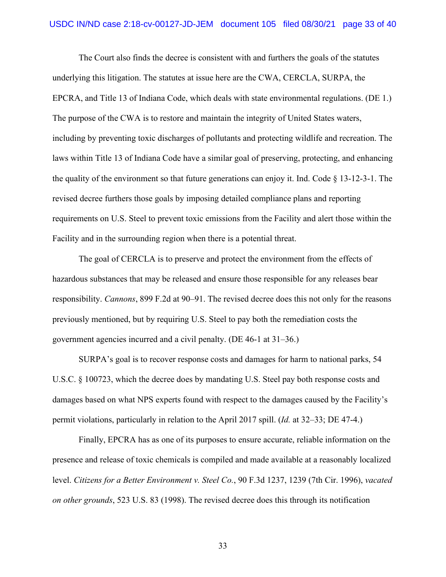The Court also finds the decree is consistent with and furthers the goals of the statutes underlying this litigation. The statutes at issue here are the CWA, CERCLA, SURPA, the EPCRA, and Title 13 of Indiana Code, which deals with state environmental regulations. (DE 1.) The purpose of the CWA is to restore and maintain the integrity of United States waters, including by preventing toxic discharges of pollutants and protecting wildlife and recreation. The laws within Title 13 of Indiana Code have a similar goal of preserving, protecting, and enhancing the quality of the environment so that future generations can enjoy it. Ind. Code  $\S$  13-12-3-1. The revised decree furthers those goals by imposing detailed compliance plans and reporting requirements on U.S. Steel to prevent toxic emissions from the Facility and alert those within the Facility and in the surrounding region when there is a potential threat.

The goal of CERCLA is to preserve and protect the environment from the effects of hazardous substances that may be released and ensure those responsible for any releases bear responsibility. *Cannons*, 899 F.2d at 90–91. The revised decree does this not only for the reasons previously mentioned, but by requiring U.S. Steel to pay both the remediation costs the government agencies incurred and a civil penalty. (DE 46-1 at 31–36.)

SURPA's goal is to recover response costs and damages for harm to national parks, 54 U.S.C. § 100723, which the decree does by mandating U.S. Steel pay both response costs and damages based on what NPS experts found with respect to the damages caused by the Facility's permit violations, particularly in relation to the April 2017 spill. (*Id.* at 32–33; DE 47-4.)

Finally, EPCRA has as one of its purposes to ensure accurate, reliable information on the presence and release of toxic chemicals is compiled and made available at a reasonably localized level. *Citizens for a Better Environment v. Steel Co.*, 90 F.3d 1237, 1239 (7th Cir. 1996), *vacated on other grounds*, 523 U.S. 83 (1998). The revised decree does this through its notification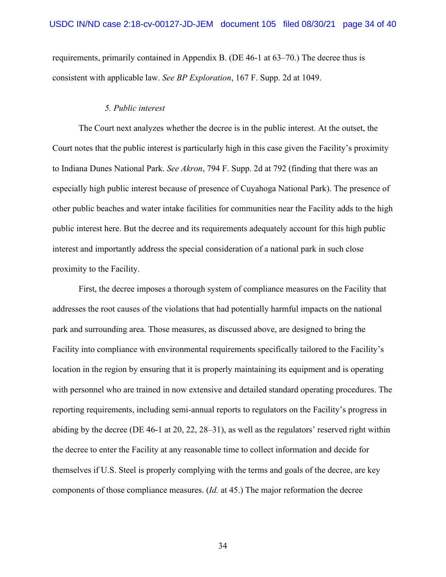requirements, primarily contained in Appendix B. (DE 46-1 at 63–70.) The decree thus is consistent with applicable law. *See BP Exploration*, 167 F. Supp. 2d at 1049.

# *5. Public interest*

The Court next analyzes whether the decree is in the public interest. At the outset, the Court notes that the public interest is particularly high in this case given the Facility's proximity to Indiana Dunes National Park. *See Akron*, 794 F. Supp. 2d at 792 (finding that there was an especially high public interest because of presence of Cuyahoga National Park). The presence of other public beaches and water intake facilities for communities near the Facility adds to the high public interest here. But the decree and its requirements adequately account for this high public interest and importantly address the special consideration of a national park in such close proximity to the Facility.

First, the decree imposes a thorough system of compliance measures on the Facility that addresses the root causes of the violations that had potentially harmful impacts on the national park and surrounding area. Those measures, as discussed above, are designed to bring the Facility into compliance with environmental requirements specifically tailored to the Facility's location in the region by ensuring that it is properly maintaining its equipment and is operating with personnel who are trained in now extensive and detailed standard operating procedures. The reporting requirements, including semi-annual reports to regulators on the Facility's progress in abiding by the decree (DE 46-1 at 20, 22, 28–31), as well as the regulators' reserved right within the decree to enter the Facility at any reasonable time to collect information and decide for themselves if U.S. Steel is properly complying with the terms and goals of the decree, are key components of those compliance measures. (*Id.* at 45.) The major reformation the decree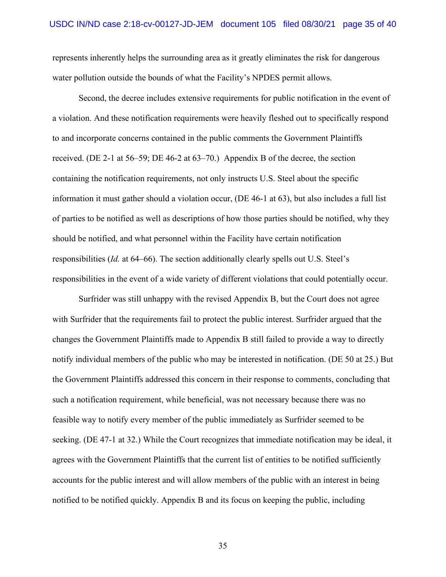represents inherently helps the surrounding area as it greatly eliminates the risk for dangerous water pollution outside the bounds of what the Facility's NPDES permit allows.

Second, the decree includes extensive requirements for public notification in the event of a violation. And these notification requirements were heavily fleshed out to specifically respond to and incorporate concerns contained in the public comments the Government Plaintiffs received. (DE 2-1 at 56–59; DE 46-2 at 63–70.) Appendix B of the decree, the section containing the notification requirements, not only instructs U.S. Steel about the specific information it must gather should a violation occur, (DE 46-1 at 63), but also includes a full list of parties to be notified as well as descriptions of how those parties should be notified, why they should be notified, and what personnel within the Facility have certain notification responsibilities (*Id.* at 64–66). The section additionally clearly spells out U.S. Steel's responsibilities in the event of a wide variety of different violations that could potentially occur.

Surfrider was still unhappy with the revised Appendix B, but the Court does not agree with Surfrider that the requirements fail to protect the public interest. Surfrider argued that the changes the Government Plaintiffs made to Appendix B still failed to provide a way to directly notify individual members of the public who may be interested in notification. (DE 50 at 25.) But the Government Plaintiffs addressed this concern in their response to comments, concluding that such a notification requirement, while beneficial, was not necessary because there was no feasible way to notify every member of the public immediately as Surfrider seemed to be seeking. (DE 47-1 at 32.) While the Court recognizes that immediate notification may be ideal, it agrees with the Government Plaintiffs that the current list of entities to be notified sufficiently accounts for the public interest and will allow members of the public with an interest in being notified to be notified quickly. Appendix B and its focus on keeping the public, including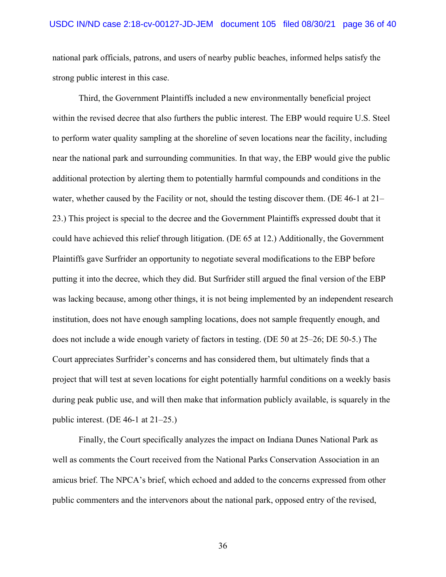national park officials, patrons, and users of nearby public beaches, informed helps satisfy the strong public interest in this case.

Third, the Government Plaintiffs included a new environmentally beneficial project within the revised decree that also furthers the public interest. The EBP would require U.S. Steel to perform water quality sampling at the shoreline of seven locations near the facility, including near the national park and surrounding communities. In that way, the EBP would give the public additional protection by alerting them to potentially harmful compounds and conditions in the water, whether caused by the Facility or not, should the testing discover them. (DE 46-1 at 21– 23.) This project is special to the decree and the Government Plaintiffs expressed doubt that it could have achieved this relief through litigation. (DE 65 at 12.) Additionally, the Government Plaintiffs gave Surfrider an opportunity to negotiate several modifications to the EBP before putting it into the decree, which they did. But Surfrider still argued the final version of the EBP was lacking because, among other things, it is not being implemented by an independent research institution, does not have enough sampling locations, does not sample frequently enough, and does not include a wide enough variety of factors in testing. (DE 50 at 25–26; DE 50-5.) The Court appreciates Surfrider's concerns and has considered them, but ultimately finds that a project that will test at seven locations for eight potentially harmful conditions on a weekly basis during peak public use, and will then make that information publicly available, is squarely in the public interest. (DE 46-1 at 21–25.)

Finally, the Court specifically analyzes the impact on Indiana Dunes National Park as well as comments the Court received from the National Parks Conservation Association in an amicus brief. The NPCA's brief, which echoed and added to the concerns expressed from other public commenters and the intervenors about the national park, opposed entry of the revised,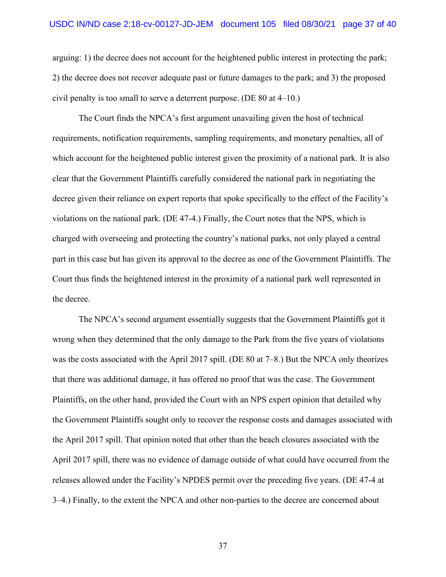arguing: 1) the decree does not account for the heightened public interest in protecting the park; 2) the decree does not recover adequate past or future damages to the park; and 3) the proposed civil penalty is too small to serve a deterrent purpose. (DE 80 at 4–10.)

The Court finds the NPCA's first argument unavailing given the host of technical requirements, notification requirements, sampling requirements, and monetary penalties, all of which account for the heightened public interest given the proximity of a national park. It is also clear that the Government Plaintiffs carefully considered the national park in negotiating the decree given their reliance on expert reports that spoke specifically to the effect of the Facility's violations on the national park. (DE 47-4.) Finally, the Court notes that the NPS, which is charged with overseeing and protecting the country's national parks, not only played a central part in this case but has given its approval to the decree as one of the Government Plaintiffs. The Court thus finds the heightened interest in the proximity of a national park well represented in the decree.

The NPCA's second argument essentially suggests that the Government Plaintiffs got it wrong when they determined that the only damage to the Park from the five years of violations was the costs associated with the April 2017 spill. (DE 80 at 7–8.) But the NPCA only theorizes that there was additional damage, it has offered no proof that was the case. The Government Plaintiffs, on the other hand, provided the Court with an NPS expert opinion that detailed why the Government Plaintiffs sought only to recover the response costs and damages associated with the April 2017 spill. That opinion noted that other than the beach closures associated with the April 2017 spill, there was no evidence of damage outside of what could have occurred from the releases allowed under the Facility's NPDES permit over the preceding five years. (DE 47-4 at 3–4.) Finally, to the extent the NPCA and other non-parties to the decree are concerned about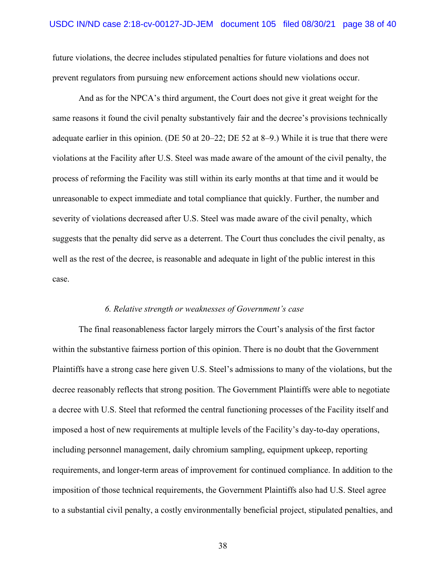future violations, the decree includes stipulated penalties for future violations and does not prevent regulators from pursuing new enforcement actions should new violations occur.

And as for the NPCA's third argument, the Court does not give it great weight for the same reasons it found the civil penalty substantively fair and the decree's provisions technically adequate earlier in this opinion. (DE 50 at 20–22; DE 52 at 8–9.) While it is true that there were violations at the Facility after U.S. Steel was made aware of the amount of the civil penalty, the process of reforming the Facility was still within its early months at that time and it would be unreasonable to expect immediate and total compliance that quickly. Further, the number and severity of violations decreased after U.S. Steel was made aware of the civil penalty, which suggests that the penalty did serve as a deterrent. The Court thus concludes the civil penalty, as well as the rest of the decree, is reasonable and adequate in light of the public interest in this case.

#### *6. Relative strength or weaknesses of Government's case*

The final reasonableness factor largely mirrors the Court's analysis of the first factor within the substantive fairness portion of this opinion. There is no doubt that the Government Plaintiffs have a strong case here given U.S. Steel's admissions to many of the violations, but the decree reasonably reflects that strong position. The Government Plaintiffs were able to negotiate a decree with U.S. Steel that reformed the central functioning processes of the Facility itself and imposed a host of new requirements at multiple levels of the Facility's day-to-day operations, including personnel management, daily chromium sampling, equipment upkeep, reporting requirements, and longer-term areas of improvement for continued compliance. In addition to the imposition of those technical requirements, the Government Plaintiffs also had U.S. Steel agree to a substantial civil penalty, a costly environmentally beneficial project, stipulated penalties, and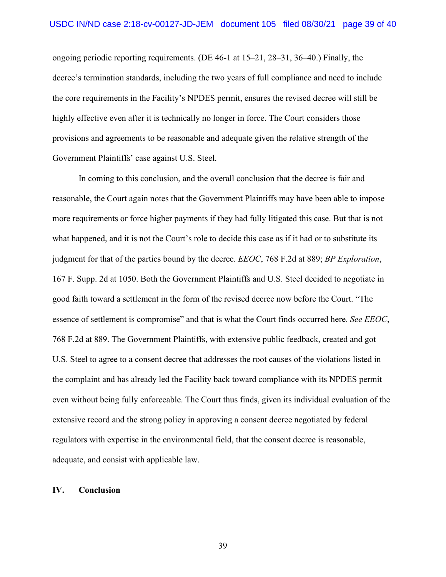ongoing periodic reporting requirements. (DE 46-1 at 15–21, 28–31, 36–40.) Finally, the decree's termination standards, including the two years of full compliance and need to include the core requirements in the Facility's NPDES permit, ensures the revised decree will still be highly effective even after it is technically no longer in force. The Court considers those provisions and agreements to be reasonable and adequate given the relative strength of the Government Plaintiffs' case against U.S. Steel.

In coming to this conclusion, and the overall conclusion that the decree is fair and reasonable, the Court again notes that the Government Plaintiffs may have been able to impose more requirements or force higher payments if they had fully litigated this case. But that is not what happened, and it is not the Court's role to decide this case as if it had or to substitute its judgment for that of the parties bound by the decree. *EEOC*, 768 F.2d at 889; *BP Exploration*, 167 F. Supp. 2d at 1050. Both the Government Plaintiffs and U.S. Steel decided to negotiate in good faith toward a settlement in the form of the revised decree now before the Court. "The essence of settlement is compromise" and that is what the Court finds occurred here. *See EEOC*, 768 F.2d at 889. The Government Plaintiffs, with extensive public feedback, created and got U.S. Steel to agree to a consent decree that addresses the root causes of the violations listed in the complaint and has already led the Facility back toward compliance with its NPDES permit even without being fully enforceable. The Court thus finds, given its individual evaluation of the extensive record and the strong policy in approving a consent decree negotiated by federal regulators with expertise in the environmental field, that the consent decree is reasonable, adequate, and consist with applicable law.

# **IV. Conclusion**